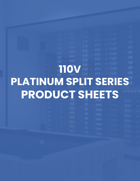# **110V PLATINUM SPLIT SERIES PRODUCT SHEETS**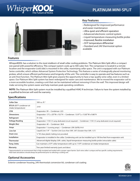## Whisper

### **PLATINUM MINI-SPLIT**



#### **Key Features**

- Redesigned for improved performance and easier maintenance
- Ultra-quiet and efficient operation
- Advanced electronic control system
- Liquid-temperature-measuring bottle probe
- · Improved, flexible installation
- 55°F temperature differential
- Standard and 24V thermostat option available

#### **Features**

WhisperKOOL has a solution to the most stubborn of small cellar cooling problems. The Platinum Mini Split offers a compact size paired with powerful efficiency. This compact system cools up to 500 cubic feet. The compressor is located in a remote location and the evaporator (cold side) is mounted in the cellar, maximizing cellar space. The unit is equipped with our Platinum Series controller, which utilizes Advanced System Protection Technology. This features a series of strategically placed monitoring probes, which ensure efficient performance and longevity of the unit. The controller is easy to operate and has features such as an anti-frost function. The Platinum Mini Split gives anyone the opportunity to have a top-quality wine cellar, even in a limited space. Our Platinum Mini Split system has been redesigned for easier care and maintenance. We've moved the evaporator coil to a more accessible location, creating a unit that can be maintained without removing it from the wall. This improved design will make servicing the system easier and help maintain peak operating conditions.

**NOTE:** The Platinum Mini Split system must be installed by a qualified HVAC-R technician. Failure to have the system installed by a qualified technician will void the warranty.

| Evaporator: 13"L x 20"W x 10.5"H • Condenser: 13.97"L x 15.85"W x 9.86"H                                          |  |
|-------------------------------------------------------------------------------------------------------------------|--|
|                                                                                                                   |  |
| Evaporator: 115V (15 amp dedicated circuit required) • Condenser: 115V (15 amp dedicated circuit required)        |  |
| Evaporator: 40 • Condenser: 38.8                                                                                  |  |
| Evaporator: 1 (running amps) • Condenser: LRA 26/RLA 4.4                                                          |  |
| Liquid Line 1/4" • Suction Line (Less than 50ft. 3/8") (Greater than 50ft. 1/2")                                  |  |
| $\frac{1}{2}$ " ID clear plastic tubing (not provided)                                                            |  |
| Evaporator is installed in the cellar. Condensing unit can be installed up to 100 line feet from evaporator unit. |  |
| Advanced digital display (50ft. cable), liquid-temperature-measuring bottle probe (retractable cable)             |  |
| Can maintain a 55°F cellar temperature with up to 110°F condenser air intake temperature                          |  |
| Two-year limited warranty (parts and labor)                                                                       |  |
|                                                                                                                   |  |

#### **Specifications**

\* Approximated in an environment that is fully insulated and sealed with a proper vapor barrier. Each wine cellar is unique and has specific cooling requirements. Heat load calculations should always be performed prior to selecting a cooling unit.

#### **Optional Accessories**

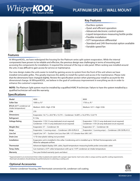## Whisperk

### **PLATINUM SPLIT - WALL MOUNT**



#### **Key Features**

- Ductless system
- Quiet and efficient operation
- Advanced electronic control system
- Liquid-temperature-measuring bottle probe
- Flexible installation
- 55°F temperature differential
- Standard and 24V thermostat option available
- Variable speed fan

#### **Features**

At WhisperKOOL, we have redesigned the housing for the Platinum series split system evaporators. While the internal components have proven to be reliable and effective, the previous design was challenging in terms of mounting and accessing the components for installation. It required the removal of the top or side panel. When racking was installed around the unit, it was difficult to gain access for service or maintenance.

Our new design makes the units easier to install by gaining access to system from the front of the unit where we have installed removable grilles. This greatly improves the ability to install the system and access it for maintenance. Please note that the dimensions have changed slightly. Review the specification section when planning your install to account for the dimensional change. At WhisperKOOL, we believe in the goal of continuous improvement in everything we do in order to enhance the customer's experience.

**NOTE:** The Platinum Split system must be installed by a qualified HVAC-R technician. Failure to have the system installed by a qualified technician will void the warranty.

| Model                                            | 4000                                                                                                                                        | 8000                                                                                                        |  |
|--------------------------------------------------|---------------------------------------------------------------------------------------------------------------------------------------------|-------------------------------------------------------------------------------------------------------------|--|
| <b>Cellar Size</b>                               | 1000 cu. ft.*                                                                                                                               | 1750 cu. ft.*                                                                                               |  |
| BTU/h (85°F condenser air<br>intake temperature) | Medium: 3650 · High: 3738                                                                                                                   | Medium: 5211 • High: 5336                                                                                   |  |
| <b>CFM</b>                                       | 270                                                                                                                                         |                                                                                                             |  |
| <b>Dimensions</b>                                | Evaporator: 16.1"L x 20.5"W x 15.5"H • Condenser: 16.08"L x 16.23"W x 12.61"H                                                               |                                                                                                             |  |
| Refrigerant                                      | R-134a                                                                                                                                      |                                                                                                             |  |
| <b>Voltage Rating</b>                            | Evaporator: 115V (15 amp dedicated circuit required)<br>Condenser: 115V (15 amp dedicated circuit required)                                 | Evaporator: 115V (15 amp dedicated circuit required)<br>Condenser: 115V (20 amp dedicated circuit required) |  |
| Weight (lbs)                                     | Evaporator: 57 • Condenser: 56                                                                                                              | Evaporator: 57 · Condenser: 66                                                                              |  |
| Amps                                             | Evaporator: 1 (running amps) • Condenser: LRA 43/RLA 8                                                                                      | Evaporator: 1 (running amps) • Condenser: LRA 50/RLA 9.3                                                    |  |
| Line Set                                         | Liquid Line 1/4" • Suction Line (Less than 50ft. 1/2") (Greater than 50ft. 5/8")                                                            |                                                                                                             |  |
| <b>Drain Line</b>                                | $\frac{1}{2}$ " ID clear plastic tubing (not provided)                                                                                      |                                                                                                             |  |
| <b>Installation</b>                              | Evaporator unit is installed in the cellar. Condensing unit is installed up to 100 feet fromevaporator unit.<br>Allow for adequate airflow. |                                                                                                             |  |
| Thermostat                                       | Advanced digital display (50ft. cable), liquid-temperature-measuring bottle probe (retractable cable)                                       |                                                                                                             |  |
| Temp. Delta                                      | Can maintain a 55°F cellar temperature with up to 110°F condenser air intake temperature                                                    |                                                                                                             |  |
| Warranty                                         | Two-year limited warranty (parts and labor)                                                                                                 |                                                                                                             |  |

#### **Specifications**

\* Approximated in an environment that is fully insulated and sealed with a proper vapor barrier. Each wine cellar is unique and has specific cooling requirements. Heat load calculations should always be performed prior to selecting a cooling unit.

#### **Optional Accessories**

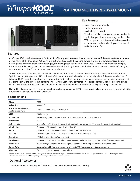## Whisperk

### **PLATINUM SPLIT TWIN - WALL MOUNT**



#### **Key Features**

- Greater cooling capacity
- Dual evaporators
- No ducting required
- Standard or 24V thermostat option available
- Liquid-temperature-measuring bottle probe
- 55°F temperature differential between cellar environment and condensing unit intake air
- Variable speed fan

#### **Features**

At WhisperKOOL, we have created a Platinum Split Twin system using two Platinum evaporators. This system offers the proven performance of the traditional Platinum Split, but provides double the cooling power. The internal components and outer housing have remained practically unchanged, simplifying installation and maintenance. Like the traditional Platinum Split, the Platinum Split Twin system can be installed in the cellar or fully ducted. The dual evaporators ensure that the efficiency and coverage of the system's cooling power can be maximized.

The evaporators feature the same convenient removable front panels (for ease of maintenance) as the traditional Platinum Split. Each evaporator puts out 270 cubic feet of air per minute, and when ducted is virtually silent. This system makes use of WhisperKOOL's liquid-temperature-measuring bottle probe, which monitors the actual temperature of the wine to ensure that it is being kept at the correct temperature. The Platinum Split Twin's combination of quiet operation, doubled cooling power, flexible installation options, and ease of maintenance make it a dynamic addition to the WhisperKOOL split system line.

**NOTE:** The Platinum Split Twin system must be installed by a qualified HVAC-R technician. Failure to have the system installed by a qualified technician will void the warranty.

| Model                                            | 9000                                                                                                              |  |
|--------------------------------------------------|-------------------------------------------------------------------------------------------------------------------|--|
| <b>Cellar Size</b>                               | 3000 cu. ft.*                                                                                                     |  |
| BTU/h (85°F condenser air<br>intake temperature) | Low: 7536 • Medium: 7850 • High: 8164                                                                             |  |
| <b>CFM</b>                                       | 200 (per unit)                                                                                                    |  |
| <b>Dimensions</b>                                | Evaporator (x2): 16.1"L x 20.5"W x 15.5"H • Condenser: 24"L x 18.98"W x 16.16"H                                   |  |
| Refrigerant                                      | R-134a                                                                                                            |  |
| <b>Voltage Rating</b>                            | Evaporator: 115V (15 amp dedicated circuit required) • Condenser: 230V (15 amp dedicated circuit required)        |  |
| Weight (lbs)                                     | Evaporators: 57 (per unit) • Condensing Unit: 67                                                                  |  |
| Amps                                             | Evaporator: 1 (running amps) (per unit) • Condenser: LRA 50/RLA 9.3                                               |  |
| Line Set                                         | Liquid Line 3/8" • Suction Line (Less than 50ft. 3/4") (Greater than 50ft. 7/8")                                  |  |
| <b>Drain Line</b>                                | $\frac{1}{2}$ " ID clear plastic tubing (not provided)                                                            |  |
| <b>Installation</b>                              | Evaporator is installed in the cellar. Condensing unit can be installed up to 100 line feet from evaporator unit. |  |
| <b>Thermostat</b>                                | Advanced digital display (50ft. cable), liquid-temperature-measuring bottle probe (retractable cable)             |  |
| Temp. Delta                                      | Can maintain a 55°F cellar temperature with up to 110°F condenser air intake temperature                          |  |
| Warranty                                         | Two-year limited warranty (parts and labor)                                                                       |  |

#### **Specifications**

\* Approximated in an environment that is fully insulated and sealed with a proper vapor barrier. Each wine cellar is unique and has specific cooling requirements. Heat load calculations should always be performed prior to selecting a cooling unit.

#### **Optional Accessories**

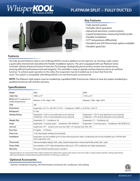## Whisperk

### **PLATINUM SPLIT - FULLY DUCTED**



#### **Key Features**

- Fully ducted system
- Virtually silent operation
- Advanced electronic control system
- Liquid-temperature-measuring bottle probe
- Flexible installation
- 55°F temperature differential
- Standard and 24V thermostat option available
- Variable speed fan

#### **Features**

The fully ducted Platinum Split is one of WhisperKOOL's newest additions to the split line-up. Ducting a split creates a quiet cellar environment and allows for flexible installation options. The unit is equipped with our Platinum Series controller utilizing Advanced System Protection Technology. Strategically placed probes monitor key temperatures, ensuring efficient performance and unit longevity. The controller is easy to operate and has features such as an antifrost function. To achieve quiet operation in the cellar, the evaporator may be installed up to 25 duct feet from the room. The system is compatible with WhisperKOOL's 24-volt thermostat conversion kit.

NOTE: The Platinum Split system must be installed by a qualified HVAC-R technician. Failure to have the system installed by a qualified technician will void the warranty.

| Model                                            | 4000                                                                                                                                           | 8000                                                                                                        |
|--------------------------------------------------|------------------------------------------------------------------------------------------------------------------------------------------------|-------------------------------------------------------------------------------------------------------------|
| <b>Cellar Size</b>                               | 1000 cu. ft.*                                                                                                                                  | 1750 cu. ft.*                                                                                               |
| BTU/h (85°F condenser air<br>intake temperature) | Medium: 3120 · High: 3195                                                                                                                      | Medium: 3788 · High: 3879                                                                                   |
| <b>CFM</b>                                       | 200                                                                                                                                            |                                                                                                             |
| <b>Dimensions</b>                                | Evaporator: 16.1"L x 20.5"W x 15.5"H • Condenser: 16.08"L x 16.23"W x 12.61"H                                                                  |                                                                                                             |
| Refrigerant                                      | R-134a                                                                                                                                         |                                                                                                             |
| <b>Voltage Rating</b>                            | Evaporator: 115V (15 amp dedicated circuit required)<br>Condenser: 115V (15 amp dedicated circuit required)                                    | Evaporator: 115V (15 amp dedicated circuit required)<br>Condenser: 115V (20 amp dedicated circuit required) |
| Weight (lbs)                                     | Evaporator: 57 • Condenser: 56                                                                                                                 | Evaporator: 57 • Condenser: 66                                                                              |
| Amps                                             | Evaporator: 1 (running amps) • Condenser: LRA 43/RLA 8                                                                                         | Evaporator: 1 (running amps) • Condenser: LRA 50/RLA 9.3                                                    |
| <b>Line Set</b>                                  | Liquid Line 1/4" • Suction Line (Less than 50ft. 1/2") (Greater than 50ft. 5/8")                                                               |                                                                                                             |
| <b>Duct Size</b>                                 | 8" Supply • 10" Return                                                                                                                         |                                                                                                             |
| <b>Drain Line</b>                                | $\frac{1}{2}$ " ID clear plastic tubing (not provided)                                                                                         |                                                                                                             |
| Installation                                     | Evaporator can be installed up to 25 duct feet away from cellar. Condensing unit can be installed up to 100 line feet<br>from evaporator unit. |                                                                                                             |
| Thermostat                                       | Advanced digital display (50ft. cable), liquid-temperature-measuring bottle probe (50ft. cable)                                                |                                                                                                             |
| Temp. Delta                                      | Can maintain a $55^{\circ}$ F cellar temperature with up to 110 $^{\circ}$ F condenser air intake temperature                                  |                                                                                                             |
| Warranty                                         | Two-year limited warranty (parts and labor)                                                                                                    |                                                                                                             |

#### **Specifications**

\* Approximated in an environment that is fully insulated and sealed with a proper vapor barrier. Each wine cellar is unique and has specific cooling requirements. Heat load calculations should always be performed prior to selecting a cooling unit.

#### **Optional Accessories**